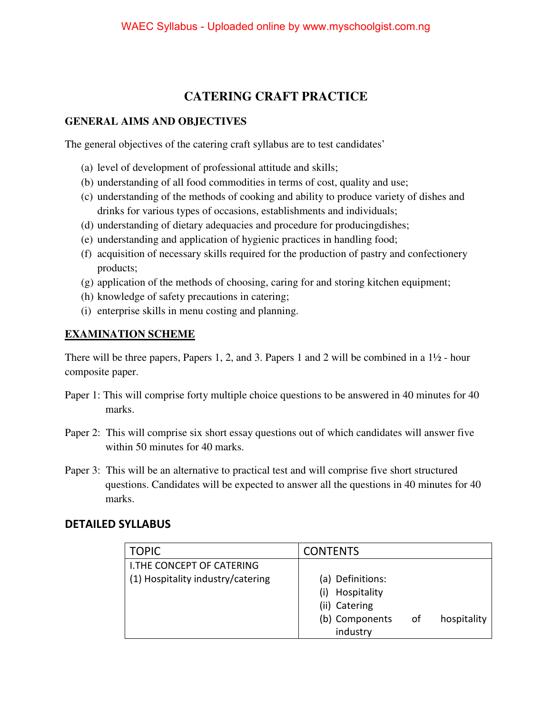### **CATERING CRAFT PRACTICE**

#### **GENERAL AIMS AND OBJECTIVES**

The general objectives of the catering craft syllabus are to test candidates'

- (a) level of development of professional attitude and skills;
- (b) understanding of all food commodities in terms of cost, quality and use;
- (c) understanding of the methods of cooking and ability to produce variety of dishes and drinks for various types of occasions, establishments and individuals;
- (d) understanding of dietary adequacies and procedure for producingdishes;
- (e) understanding and application of hygienic practices in handling food;
- (f) acquisition of necessary skills required for the production of pastry and confectionery products;
- (g) application of the methods of choosing, caring for and storing kitchen equipment;
- (h) knowledge of safety precautions in catering;
- (i) enterprise skills in menu costing and planning.

### **EXAMINATION SCHEME**

There will be three papers, Papers 1, 2, and 3. Papers 1 and 2 will be combined in a 1½ - hour composite paper.

- Paper 1: This will comprise forty multiple choice questions to be answered in 40 minutes for 40 marks.
- Paper 2: This will comprise six short essay questions out of which candidates will answer five within 50 minutes for 40 marks.
- Paper 3: This will be an alternative to practical test and will comprise five short structured questions. Candidates will be expected to answer all the questions in 40 minutes for 40 marks.

### **DETAILED SYLLABUS**

| <b>TOPIC</b>                      | <b>CONTENTS</b>    |    |             |
|-----------------------------------|--------------------|----|-------------|
| LI.THE CONCEPT OF CATERING        |                    |    |             |
| (1) Hospitality industry/catering | (a) Definitions:   |    |             |
|                                   | Hospitality<br>(i) |    |             |
|                                   | (ii) Catering      |    |             |
|                                   | (b) Components     | of | hospitality |
|                                   | industry           |    |             |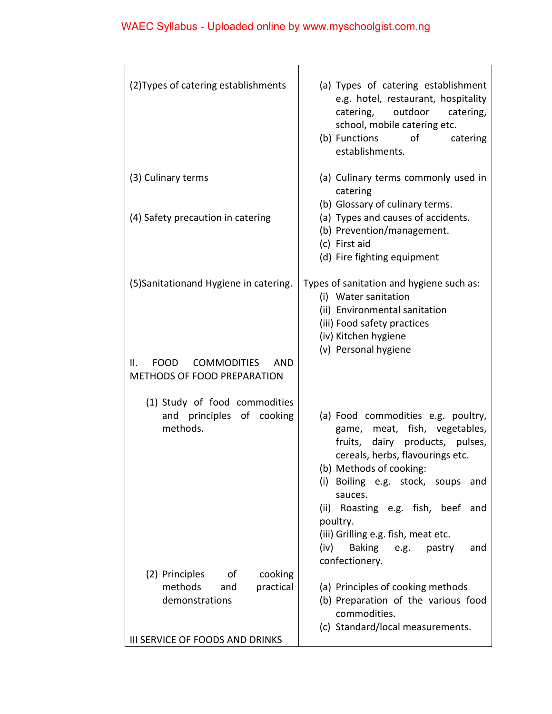## WAEC Syllabus - Uploaded online by www.myschoolgist.com.ng

| (2) Types of catering establishments                                                  | (a) Types of catering establishment<br>e.g. hotel, restaurant, hospitality<br>catering, outdoor<br>catering,<br>school, mobile catering etc.<br>(b) Functions<br>of<br>catering<br>establishments.                                                                                                                                                                               |
|---------------------------------------------------------------------------------------|----------------------------------------------------------------------------------------------------------------------------------------------------------------------------------------------------------------------------------------------------------------------------------------------------------------------------------------------------------------------------------|
| (3) Culinary terms                                                                    | (a) Culinary terms commonly used in<br>catering                                                                                                                                                                                                                                                                                                                                  |
| (4) Safety precaution in catering                                                     | (b) Glossary of culinary terms.<br>(a) Types and causes of accidents.<br>(b) Prevention/management.<br>(c) First aid<br>(d) Fire fighting equipment                                                                                                                                                                                                                              |
| (5) Sanitationand Hygiene in catering.                                                | Types of sanitation and hygiene such as:<br>(i) Water sanitation<br>(ii) Environmental sanitation<br>(iii) Food safety practices<br>(iv) Kitchen hygiene<br>(v) Personal hygiene                                                                                                                                                                                                 |
| <b>FOOD</b><br><b>COMMODITIES</b><br><b>AND</b><br>ΙΙ.<br>METHODS OF FOOD PREPARATION |                                                                                                                                                                                                                                                                                                                                                                                  |
| (1) Study of food commodities<br>and principles of cooking<br>methods.                | (a) Food commodities e.g. poultry,<br>game, meat, fish, vegetables,<br>fruits, dairy products, pulses,<br>cereals, herbs, flavourings etc.<br>(b) Methods of cooking:<br>(i) Boiling e.g. stock,<br>soups<br>and<br>sauces.<br>(ii) Roasting e.g. fish, beef<br>and<br>poultry.<br>(iii) Grilling e.g. fish, meat etc.<br>(iv)<br>Baking e.g.<br>pastry<br>and<br>confectionery. |
| (2) Principles<br>of<br>cooking<br>methods<br>practical<br>and<br>demonstrations      | (a) Principles of cooking methods<br>(b) Preparation of the various food<br>commodities.<br>(c) Standard/local measurements.                                                                                                                                                                                                                                                     |
| III SERVICE OF FOODS AND DRINKS                                                       |                                                                                                                                                                                                                                                                                                                                                                                  |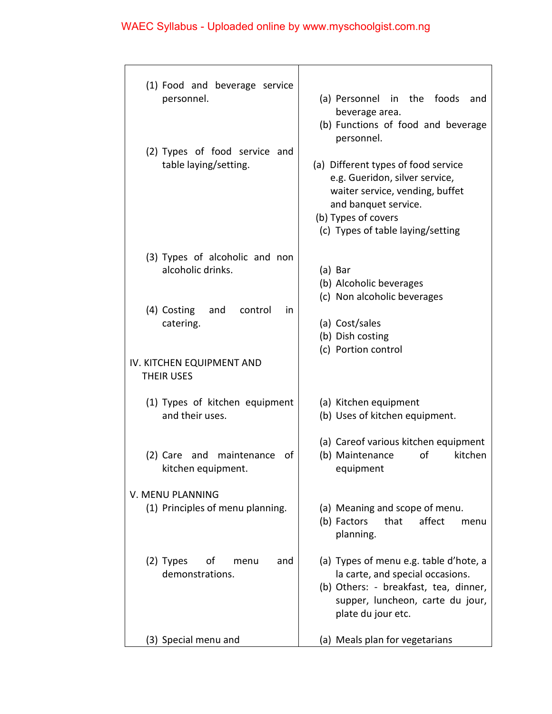# WAEC Syllabus - Uploaded online by www.myschoolgist.com.ng

| (1) Food and beverage service<br>personnel.<br>(2) Types of food service and<br>table laying/setting. | (a) Personnel in the foods<br>and<br>beverage area.<br>(b) Functions of food and beverage<br>personnel.<br>(a) Different types of food service<br>e.g. Gueridon, silver service,<br>waiter service, vending, buffet<br>and banquet service. |  |
|-------------------------------------------------------------------------------------------------------|---------------------------------------------------------------------------------------------------------------------------------------------------------------------------------------------------------------------------------------------|--|
|                                                                                                       | (b) Types of covers<br>(c) Types of table laying/setting                                                                                                                                                                                    |  |
| (3) Types of alcoholic and non<br>alcoholic drinks.                                                   | (a) Bar<br>(b) Alcoholic beverages<br>(c) Non alcoholic beverages                                                                                                                                                                           |  |
| (4) Costing<br>and<br>control<br>in<br>catering.                                                      | (a) Cost/sales<br>(b) Dish costing<br>(c) Portion control                                                                                                                                                                                   |  |
| IV. KITCHEN EQUIPMENT AND<br>THEIR USES                                                               |                                                                                                                                                                                                                                             |  |
| (1) Types of kitchen equipment<br>and their uses.                                                     | (a) Kitchen equipment<br>(b) Uses of kitchen equipment.                                                                                                                                                                                     |  |
| (2) Care and<br>maintenance<br>οf<br>kitchen equipment.                                               | (a) Careof various kitchen equipment<br>kitchen<br>(b) Maintenance<br>οf<br>equipment                                                                                                                                                       |  |
| V. MENU PLANNING<br>(1) Principles of menu planning.                                                  | (a) Meaning and scope of menu.<br>affect<br>that<br>(b) Factors<br>menu<br>planning.                                                                                                                                                        |  |
| $(2)$ Types<br>οf<br>and<br>menu<br>demonstrations.                                                   | (a) Types of menu e.g. table d'hote, a<br>la carte, and special occasions.<br>(b) Others: - breakfast, tea, dinner,<br>supper, luncheon, carte du jour,<br>plate du jour etc.                                                               |  |
| (3) Special menu and                                                                                  | (a) Meals plan for vegetarians                                                                                                                                                                                                              |  |